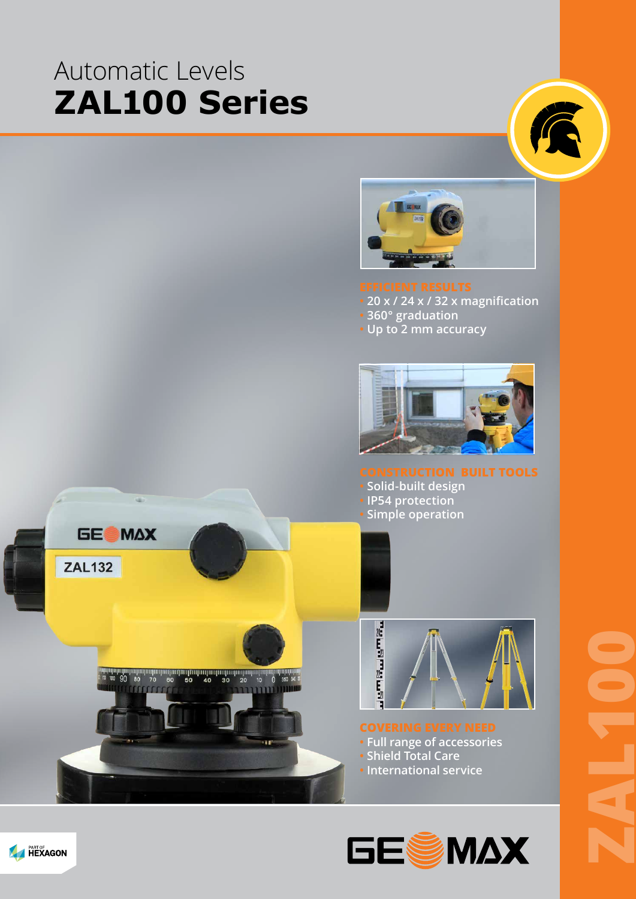# Automatic Levels **ZAL100 Series**





**• 20 x / 24 x / 32 x magnification • 360° graduation • Up to 2 mm accuracy** 



- **Solid-built design**
- **IP54 protection**
- **Simple operation**





### **COVERING EVERY NEED**

- **Full range of accessories**
- **Shield Total Care**
- **International service**